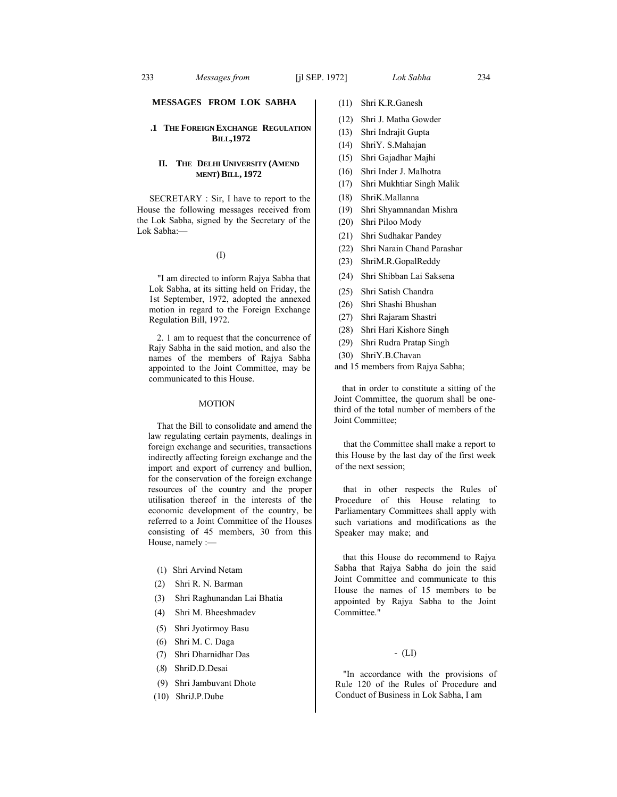## **MESSAGES FROM LOK SABHA**

## **.1 THE FOREIGN EXCHANGE REGULATION BILL,1972**

## **II. THE DELHI UNIVERSITY (AMEND MENT) BILL, 1972**

SECRETARY : Sir, I have to report to the House the following messages received from the Lok Sabha, signed by the Secretary of the Lok Sabha:—

#### (I)

"I am directed to inform Rajya Sabha that Lok Sabha, at its sitting held on Friday, the 1st September, 1972, adopted the annexed motion in regard to the Foreign Exchange Regulation Bill, 1972.

2. 1 am to request that the concurrence of Rajy Sabha in the said motion, and also the names of the members of Rajya Sabha appointed to the Joint Committee, may be communicated to this House.

## MOTION

That the Bill to consolidate and amend the law regulating certain payments, dealings in foreign exchange and securities, transactions indirectly affecting foreign exchange and the import and export of currency and bullion, for the conservation of the foreign exchange resources of the country and the proper utilisation thereof in the interests of the economic development of the country, be referred to a Joint Committee of the Houses consisting of 45 members, 30 from this House, namely :—

- (1) Shri Arvind Netam
- (2) Shri R. N. Barman
- (3) Shri Raghunandan Lai Bhatia
- (4) Shri M. Bheeshmadev
- (5) Shri Jyotirmoy Basu
- (6) Shri M. C. Daga
- (7) Shri Dharnidhar Das
- (.8) ShriD.D.Desai
- (9) Shri Jambuvant Dhote
- (10) ShriJ.P.Dube
- (11) Shri K.R.Ganesh
- (12) Shri J. Matha Gowder
- (13) Shri Indrajit Gupta
- (14) ShriY. S.Mahajan
- (15) Shri Gajadhar Majhi
- (16) Shri Inder J. Malhotra
- (17) Shri Mukhtiar Singh Malik
- (18) ShriK.Mallanna
- (19) Shri Shyamnandan Mishra
- (20) Shri Piloo Mody
- (21) Shri Sudhakar Pandey
- (22) Shri Narain Chand Parashar
- (23) ShriM.R.GopalReddy
- (24) Shri Shibban Lai Saksena
- (25) Shri Satish Chandra
- (26) Shri Shashi Bhushan
- (27) Shri Rajaram Shastri
- (28) Shri Hari Kishore Singh
- (29) Shri Rudra Pratap Singh
- (30) ShriY.B.Chavan
- and 15 members from Rajya Sabha;

that in order to constitute a sitting of the Joint Committee, the quorum shall be onethird of the total number of members of the Joint Committee;

that the Committee shall make a report to this House by the last day of the first week of the next session;

that in other respects the Rules of Procedure of this House relating to Parliamentary Committees shall apply with such variations and modifications as the Speaker may make; and

that this House do recommend to Rajya Sabha that Rajya Sabha do join the said Joint Committee and communicate to this House the names of 15 members to be appointed by Rajya Sabha to the Joint Committee."

# - (LI)

"In accordance with the provisions of Rule 120 of the Rules of Procedure and Conduct of Business in Lok Sabha, I am